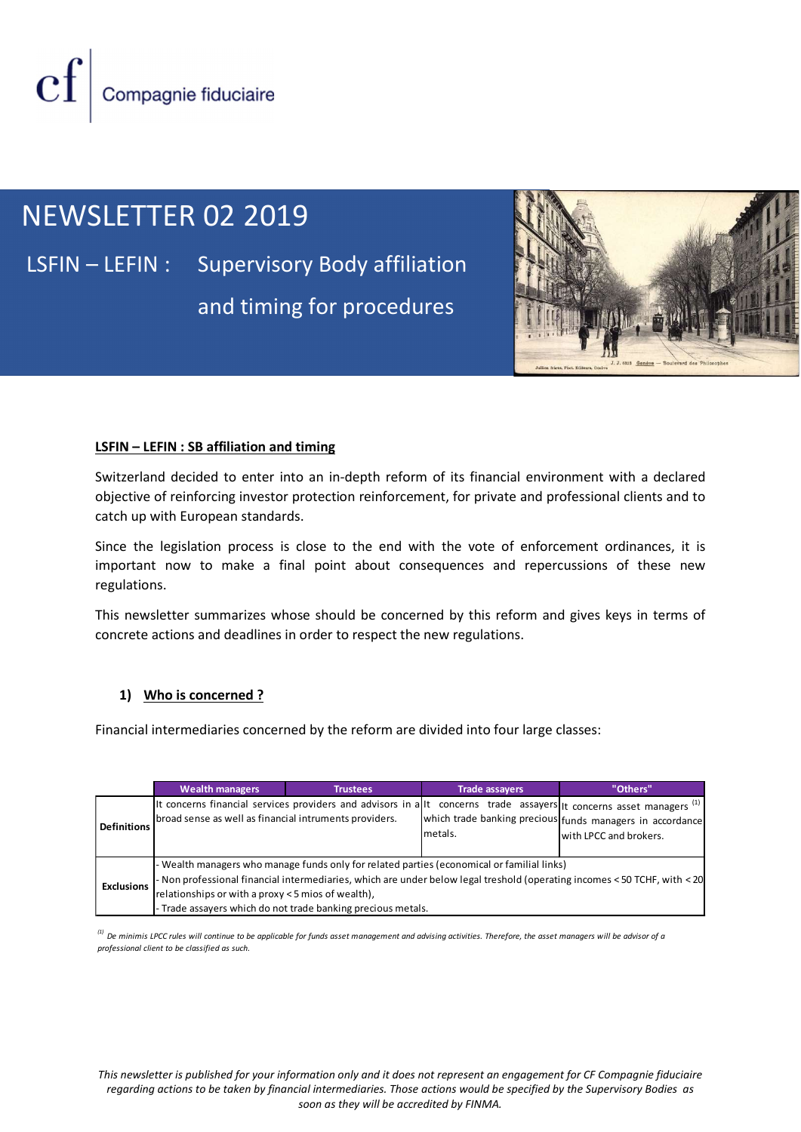Compagnie fiduciaire

# NEWSLETTER 02 2019

LSFIN – LEFIN : Supervisory Body affiliation and timing for procedures



## LSFIN – LEFIN : SB affiliation and timing

## 1) Who is concerned ?

|                   | catch up with European standards.                                                                                  |                 |                                                                                          | Switzerland decided to enter into an in-depth reform of its financial environment with a declared<br>objective of reinforcing investor protection reinforcement, for private and professional clients and to                       |  |
|-------------------|--------------------------------------------------------------------------------------------------------------------|-----------------|------------------------------------------------------------------------------------------|------------------------------------------------------------------------------------------------------------------------------------------------------------------------------------------------------------------------------------|--|
| regulations.      |                                                                                                                    |                 |                                                                                          | Since the legislation process is close to the end with the vote of enforcement ordinances, it is<br>important now to make a final point about consequences and repercussions of these new                                          |  |
|                   | concrete actions and deadlines in order to respect the new regulations.                                            |                 |                                                                                          | This newsletter summarizes whose should be concerned by this reform and gives keys in terms of                                                                                                                                     |  |
| 1)                | Who is concerned?<br>Financial intermediaries concerned by the reform are divided into four large classes:         |                 |                                                                                          |                                                                                                                                                                                                                                    |  |
|                   |                                                                                                                    |                 |                                                                                          |                                                                                                                                                                                                                                    |  |
| Definitions       | <b>Wealth managers</b><br>broad sense as well as financial intruments providers.                                   | <b>Trustees</b> | <b>Trade assayers</b><br>metals.                                                         | "Others"<br>It concerns financial services providers and advisors in allt concerns trade assayers tt concerns asset managers <sup>(1)</sup><br>which trade banking precious funds managers in accordance<br>with LPCC and brokers. |  |
| <b>Exclusions</b> | relationships or with a proxy < 5 mios of wealth),<br>- Trade assayers which do not trade banking precious metals. |                 | Wealth managers who manage funds only for related parties (economical or familial links) | Non professional financial intermediaries, which are under below legal treshold (operating incomes < 50 TCHF, with < 20                                                                                                            |  |

This newsletter is published for your information only and it does not represent an engagement for CF Compagnie fiduciaire regarding actions to be taken by financial intermediaries. Those actions would be specified by the Supervisory Bodies as soon as they will be accredited by FINMA.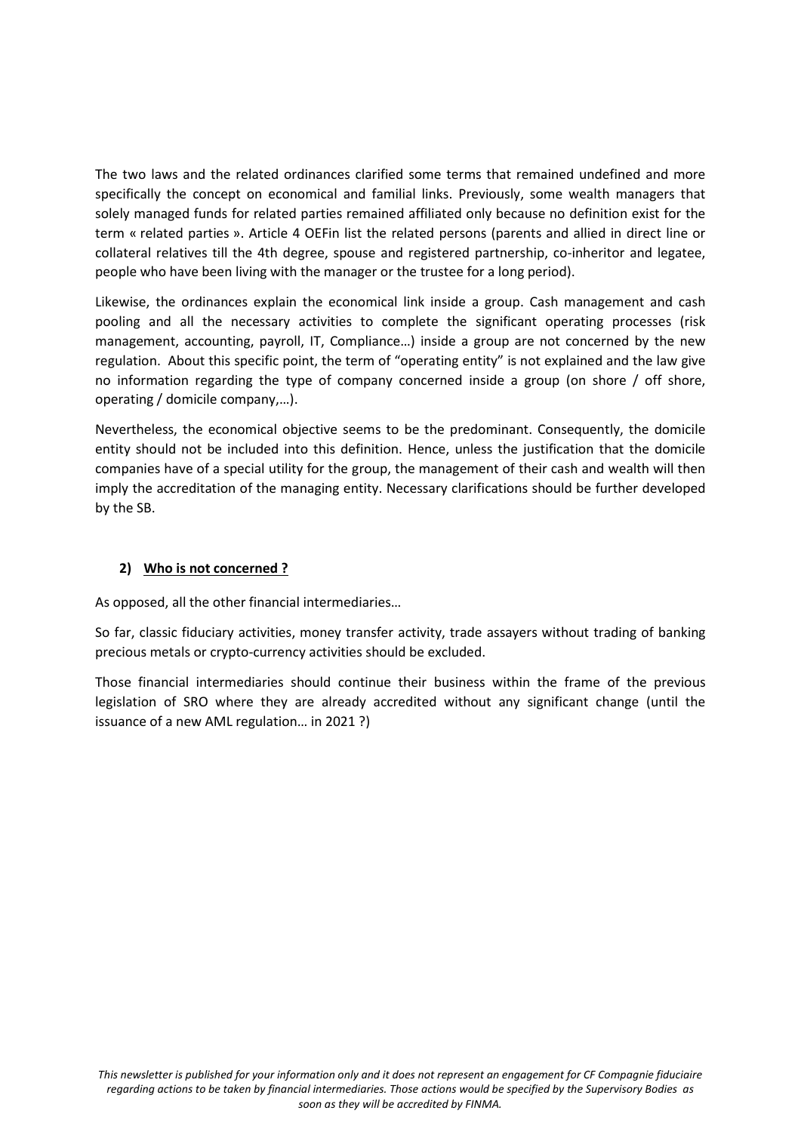The two laws and the related ordinances clarified some terms that remained undefined and more specifically the concept on economical and familial links. Previously, some wealth managers that solely managed funds for related parties remained affiliated only because no definition exist for the term « related parties ». Article 4 OEFin list the related persons (parents and allied in direct line or collateral relatives till the 4th degree, spouse and registered partnership, co-inheritor and legatee, people who have been living with the manager or the trustee for a long period).

Likewise, the ordinances explain the economical link inside a group. Cash management and cash pooling and all the necessary activities to complete the significant operating processes (risk management, accounting, payroll, IT, Compliance…) inside a group are not concerned by the new regulation. About this specific point, the term of "operating entity" is not explained and the law give no information regarding the type of company concerned inside a group (on shore / off shore, operating / domicile company,…).

Nevertheless, the economical objective seems to be the predominant. Consequently, the domicile entity should not be included into this definition. Hence, unless the justification that the domicile companies have of a special utility for the group, the management of their cash and wealth will then imply the accreditation of the managing entity. Necessary clarifications should be further developed by the SB.

# 2) Who is not concerned ?

As opposed, all the other financial intermediaries…

So far, classic fiduciary activities, money transfer activity, trade assayers without trading of banking precious metals or crypto-currency activities should be excluded.

Those financial intermediaries should continue their business within the frame of the previous legislation of SRO where they are already accredited without any significant change (until the issuance of a new AML regulation… in 2021 ?)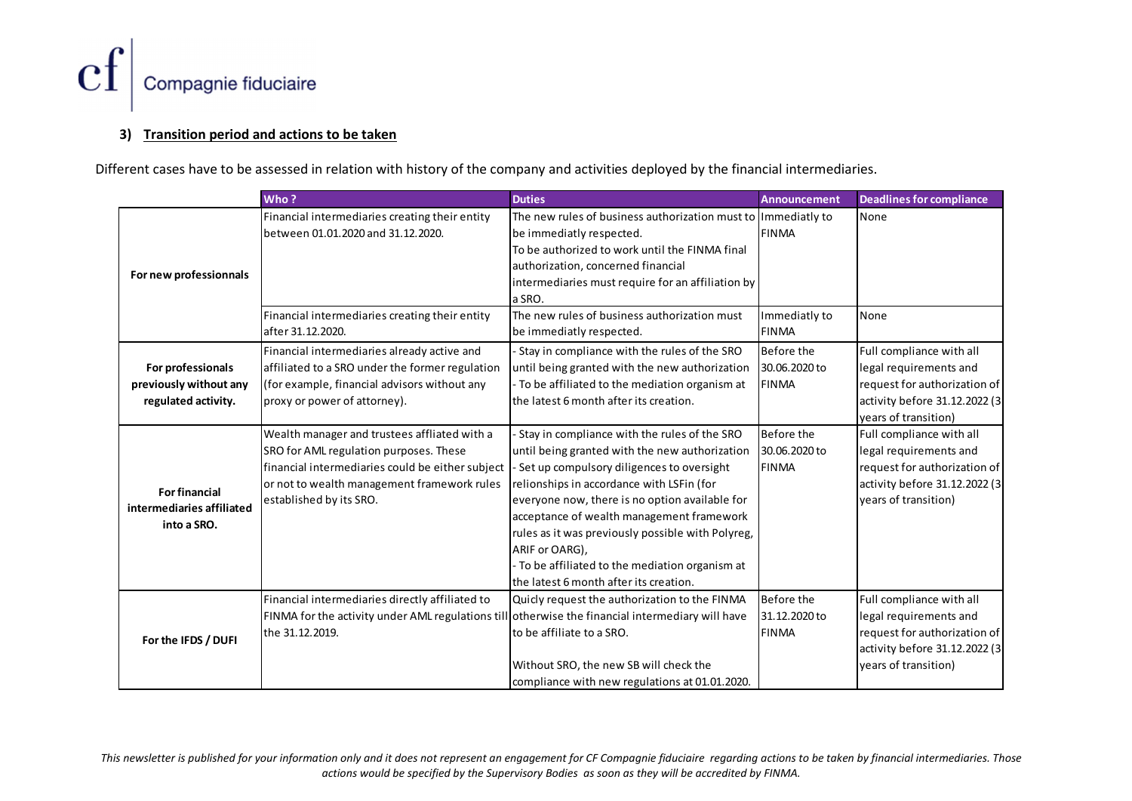

## 3) Transition period and actions to be taken

| Compagnie fiduciaire<br>3)                                         | <b>Transition period and actions to be taken</b>                                                                                                                                                                                                                  |                                                                                                                                                                                                                                                                                                                                                                                                                |                                                      |                                                                                                                                             |
|--------------------------------------------------------------------|-------------------------------------------------------------------------------------------------------------------------------------------------------------------------------------------------------------------------------------------------------------------|----------------------------------------------------------------------------------------------------------------------------------------------------------------------------------------------------------------------------------------------------------------------------------------------------------------------------------------------------------------------------------------------------------------|------------------------------------------------------|---------------------------------------------------------------------------------------------------------------------------------------------|
|                                                                    | erent cases have to be assessed in relation with history of the company and activities deployed by the financial intermediaries.                                                                                                                                  |                                                                                                                                                                                                                                                                                                                                                                                                                |                                                      |                                                                                                                                             |
| For new professionnals                                             | Who?<br>Financial intermediaries creating their entity<br>between 01.01.2020 and 31.12.2020.                                                                                                                                                                      | <b>Duties</b><br>The new rules of business authorization must to<br>be immediatly respected.<br>To be authorized to work until the FINMA final<br>authorization, concerned financial<br>intermediaries must require for an affiliation by<br>a SRO.                                                                                                                                                            | <b>Announcement</b><br>Immediatly to<br><b>FINMA</b> | <b>Deadlines for compliance</b><br>None                                                                                                     |
|                                                                    | Financial intermediaries creating their entity<br>after 31.12.2020.                                                                                                                                                                                               | The new rules of business authorization must<br>be immediatly respected.                                                                                                                                                                                                                                                                                                                                       | Immediatly to<br><b>FINMA</b>                        | None                                                                                                                                        |
| For professionals<br>previously without any<br>regulated activity. | Financial intermediaries already active and<br>affiliated to a SRO under the former regulation<br>(for example, financial advisors without any<br>proxy or power of attorney).                                                                                    | - Stay in compliance with the rules of the SRO<br>until being granted with the new authorization<br>- To be affiliated to the mediation organism at<br>the latest 6 month after its creation.                                                                                                                                                                                                                  | Before the<br>30.06.2020 to<br>FINMA                 | Full compliance with all<br>legal requirements and<br>request for authorization of<br>activity before 31.12.2022 (3<br>years of transition) |
| <b>For financial</b><br>intermediaries affiliated<br>into a SRO.   | Wealth manager and trustees affliated with a<br>SRO for AML regulation purposes. These<br>financial intermediaries could be either subject  - Set up compulsory diligences to oversight<br>or not to wealth management framework rules<br>established by its SRO. | Stay in compliance with the rules of the SRO<br>until being granted with the new authorization<br>relionships in accordance with LSFin (for<br>everyone now, there is no option available for<br>acceptance of wealth management framework<br>rules as it was previously possible with Polyreg,<br>ARIF or OARG),<br>- To be affiliated to the mediation organism at<br>the latest 6 month after its creation. | Before the<br>30.06.2020 to<br><b>FINMA</b>          | Full compliance with all<br>legal requirements and<br>request for authorization of<br>activity before 31.12.2022 (3<br>years of transition) |
| For the IFDS / DUFI                                                | Financial intermediaries directly affiliated to<br>FINMA for the activity under AML regulations till otherwise the financial intermediary will have<br>the 31.12.2019.                                                                                            | Quicly request the authorization to the FINMA<br>to be affiliate to a SRO.<br>Without SRO, the new SB will check the<br>compliance with new regulations at 01.01.2020.                                                                                                                                                                                                                                         | Before the<br>31.12.2020 to<br><b>FINMA</b>          | Full compliance with all<br>legal requirements and<br>request for authorization of<br>activity before 31.12.2022 (3<br>years of transition) |

This newsletter is published for your information only and it does not represent an engagement for CF Compagnie fiduciaire regarding actions to be taken by financial intermediaries. Those actions would be specified by the Supervisory Bodies as soon as they will be accredited by FINMA.